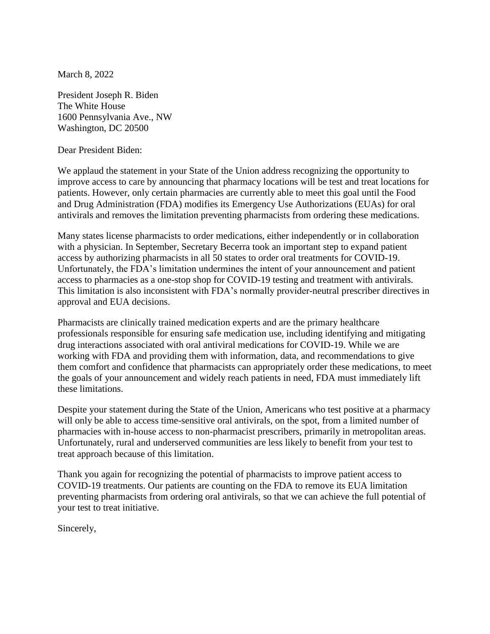March 8, 2022

President Joseph R. Biden The White House 1600 Pennsylvania Ave., NW Washington, DC 20500

Dear President Biden:

We applaud the statement in your State of the Union address recognizing the opportunity to improve access to care by announcing that pharmacy locations will be test and treat locations for patients. However, only certain pharmacies are currently able to meet this goal until the Food and Drug Administration (FDA) modifies its Emergency Use Authorizations (EUAs) for oral antivirals and removes the limitation preventing pharmacists from ordering these medications.

Many states license pharmacists to order medications, either independently or in collaboration with a physician. In September, Secretary Becerra took an important step to expand patient access by authorizing pharmacists in all 50 states to order oral treatments for COVID-19. Unfortunately, the FDA's limitation undermines the intent of your announcement and patient access to pharmacies as a one-stop shop for COVID-19 testing and treatment with antivirals. This limitation is also inconsistent with FDA's normally provider-neutral prescriber directives in approval and EUA decisions.

Pharmacists are clinically trained medication experts and are the primary healthcare professionals responsible for ensuring safe medication use, including identifying and mitigating drug interactions associated with oral antiviral medications for COVID-19. While we are working with FDA and providing them with information, data, and recommendations to give them comfort and confidence that pharmacists can appropriately order these medications, to meet the goals of your announcement and widely reach patients in need, FDA must immediately lift these limitations.

Despite your statement during the State of the Union, Americans who test positive at a pharmacy will only be able to access time-sensitive oral antivirals, on the spot, from a limited number of pharmacies with in-house access to non-pharmacist prescribers, primarily in metropolitan areas. Unfortunately, rural and underserved communities are less likely to benefit from your test to treat approach because of this limitation.

Thank you again for recognizing the potential of pharmacists to improve patient access to COVID-19 treatments. Our patients are counting on the FDA to remove its EUA limitation preventing pharmacists from ordering oral antivirals, so that we can achieve the full potential of your test to treat initiative.

Sincerely,